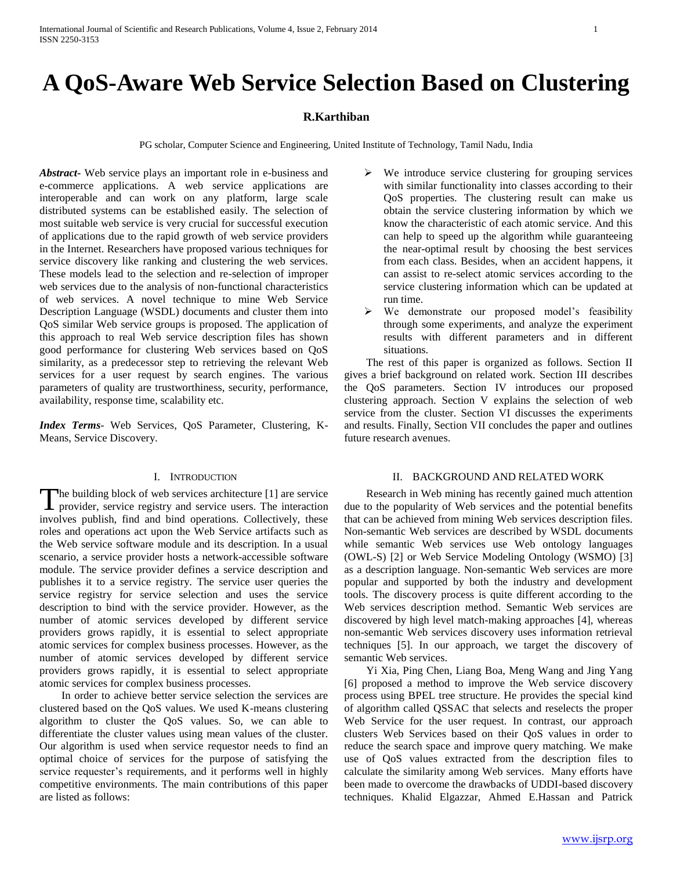# **A QoS-Aware Web Service Selection Based on Clustering**

# **R.Karthiban**

PG scholar, Computer Science and Engineering, United Institute of Technology, Tamil Nadu, India

*Abstract***-** Web service plays an important role in e-business and e-commerce applications. A web service applications are interoperable and can work on any platform, large scale distributed systems can be established easily. The selection of most suitable web service is very crucial for successful execution of applications due to the rapid growth of web service providers in the Internet. Researchers have proposed various techniques for service discovery like ranking and clustering the web services. These models lead to the selection and re-selection of improper web services due to the analysis of non-functional characteristics of web services. A novel technique to mine Web Service Description Language (WSDL) documents and cluster them into QoS similar Web service groups is proposed. The application of this approach to real Web service description files has shown good performance for clustering Web services based on QoS similarity, as a predecessor step to retrieving the relevant Web services for a user request by search engines. The various parameters of quality are trustworthiness, security, performance, availability, response time, scalability etc.

*Index Terms*- Web Services, QoS Parameter, Clustering, K-Means, Service Discovery.

# I. INTRODUCTION

he building block of web services architecture [1] are service provider, service registry and service users. The interaction The building block of web services architecture [1] are service provider, service registry and service users. The interaction involves publish, find and bind operations. Collectively, these roles and operations act upon the Web Service artifacts such as the Web service software module and its description. In a usual scenario, a service provider hosts a network-accessible software module. The service provider defines a service description and publishes it to a service registry. The service user queries the service registry for service selection and uses the service description to bind with the service provider. However, as the number of atomic services developed by different service providers grows rapidly, it is essential to select appropriate atomic services for complex business processes. However, as the number of atomic services developed by different service providers grows rapidly, it is essential to select appropriate atomic services for complex business processes.

 In order to achieve better service selection the services are clustered based on the QoS values. We used K-means clustering algorithm to cluster the QoS values. So, we can able to differentiate the cluster values using mean values of the cluster. Our algorithm is used when service requestor needs to find an optimal choice of services for the purpose of satisfying the service requester's requirements, and it performs well in highly competitive environments. The main contributions of this paper are listed as follows:

- We introduce service clustering for grouping services with similar functionality into classes according to their QoS properties. The clustering result can make us obtain the service clustering information by which we know the characteristic of each atomic service. And this can help to speed up the algorithm while guaranteeing the near-optimal result by choosing the best services from each class. Besides, when an accident happens, it can assist to re-select atomic services according to the service clustering information which can be updated at run time.
- We demonstrate our proposed model's feasibility through some experiments, and analyze the experiment results with different parameters and in different situations.

 The rest of this paper is organized as follows. Section II gives a brief background on related work. Section III describes the QoS parameters. Section IV introduces our proposed clustering approach. Section V explains the selection of web service from the cluster. Section VI discusses the experiments and results. Finally, Section VII concludes the paper and outlines future research avenues.

# II. BACKGROUND AND RELATED WORK

 Research in Web mining has recently gained much attention due to the popularity of Web services and the potential benefits that can be achieved from mining Web services description files. Non-semantic Web services are described by WSDL documents while semantic Web services use Web ontology languages (OWL-S) [2] or Web Service Modeling Ontology (WSMO) [3] as a description language. Non-semantic Web services are more popular and supported by both the industry and development tools. The discovery process is quite different according to the Web services description method. Semantic Web services are discovered by high level match-making approaches [4], whereas non-semantic Web services discovery uses information retrieval techniques [5]. In our approach, we target the discovery of semantic Web services.

 Yi Xia, Ping Chen, Liang Boa, Meng Wang and Jing Yang [6] proposed a method to improve the Web service discovery process using BPEL tree structure. He provides the special kind of algorithm called QSSAC that selects and reselects the proper Web Service for the user request. In contrast, our approach clusters Web Services based on their QoS values in order to reduce the search space and improve query matching. We make use of QoS values extracted from the description files to calculate the similarity among Web services. Many efforts have been made to overcome the drawbacks of UDDI-based discovery techniques. Khalid Elgazzar, Ahmed E.Hassan and Patrick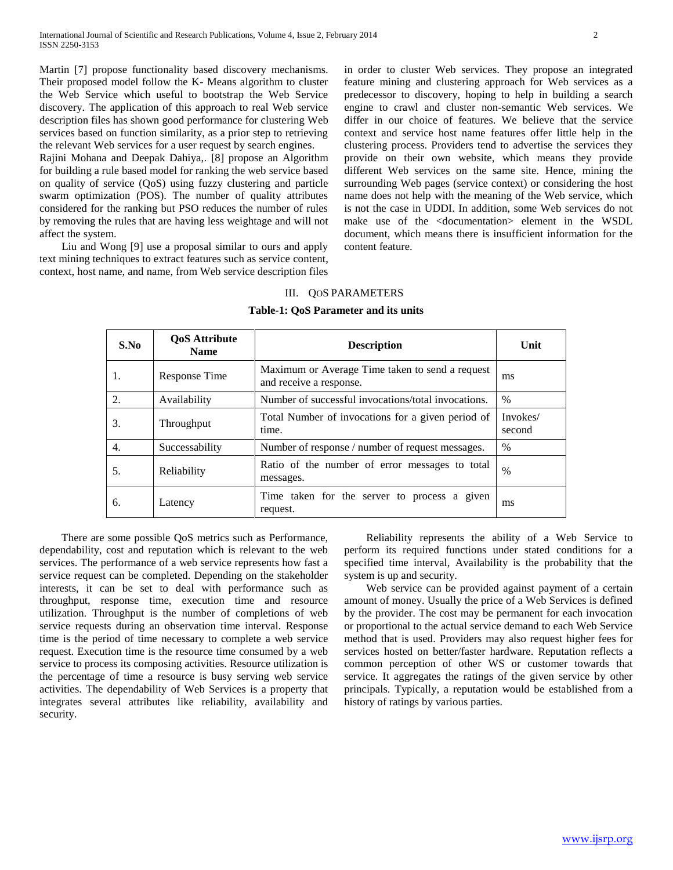Martin [7] propose functionality based discovery mechanisms. Their proposed model follow the K- Means algorithm to cluster the Web Service which useful to bootstrap the Web Service discovery. The application of this approach to real Web service description files has shown good performance for clustering Web services based on function similarity, as a prior step to retrieving the relevant Web services for a user request by search engines.

Rajini Mohana and Deepak Dahiya,. [8] propose an Algorithm for building a rule based model for ranking the web service based on quality of service (QoS) using fuzzy clustering and particle swarm optimization (POS). The number of quality attributes considered for the ranking but PSO reduces the number of rules by removing the rules that are having less weightage and will not affect the system.

 Liu and Wong [9] use a proposal similar to ours and apply text mining techniques to extract features such as service content, context, host name, and name, from Web service description files

in order to cluster Web services. They propose an integrated feature mining and clustering approach for Web services as a predecessor to discovery, hoping to help in building a search engine to crawl and cluster non-semantic Web services. We differ in our choice of features. We believe that the service context and service host name features offer little help in the clustering process. Providers tend to advertise the services they provide on their own website, which means they provide different Web services on the same site. Hence, mining the surrounding Web pages (service context) or considering the host name does not help with the meaning of the Web service, which is not the case in UDDI. In addition, some Web services do not make use of the <documentation> element in the WSDL document, which means there is insufficient information for the content feature.

### III. QOS PARAMETERS

#### **Table-1: QoS Parameter and its units**

| S.No | <b>OoS</b> Attribute<br><b>Name</b> | <b>Description</b>                                                         | Unit               |
|------|-------------------------------------|----------------------------------------------------------------------------|--------------------|
| 1.   | Response Time                       | Maximum or Average Time taken to send a request<br>and receive a response. | ms                 |
| 2.   | Availability                        | Number of successful invocations/total invocations.                        | $\%$               |
| 3.   | Throughput                          | Total Number of invocations for a given period of<br>time.                 | Invokes/<br>second |
| 4.   | Successability                      | Number of response / number of request messages.                           | $\%$               |
| .5.  | Reliability                         | Ratio of the number of error messages to total<br>messages.                | $\%$               |
| 6.   | Latency                             | Time taken for the server to process a given<br>request.                   | ms                 |

 There are some possible QoS metrics such as Performance, dependability, cost and reputation which is relevant to the web services. The performance of a web service represents how fast a service request can be completed. Depending on the stakeholder interests, it can be set to deal with performance such as throughput, response time, execution time and resource utilization. Throughput is the number of completions of web service requests during an observation time interval. Response time is the period of time necessary to complete a web service request. Execution time is the resource time consumed by a web service to process its composing activities. Resource utilization is the percentage of time a resource is busy serving web service activities. The dependability of Web Services is a property that integrates several attributes like reliability, availability and security.

 Reliability represents the ability of a Web Service to perform its required functions under stated conditions for a specified time interval, Availability is the probability that the system is up and security.

 Web service can be provided against payment of a certain amount of money. Usually the price of a Web Services is defined by the provider. The cost may be permanent for each invocation or proportional to the actual service demand to each Web Service method that is used. Providers may also request higher fees for services hosted on better/faster hardware. Reputation reflects a common perception of other WS or customer towards that service. It aggregates the ratings of the given service by other principals. Typically, a reputation would be established from a history of ratings by various parties.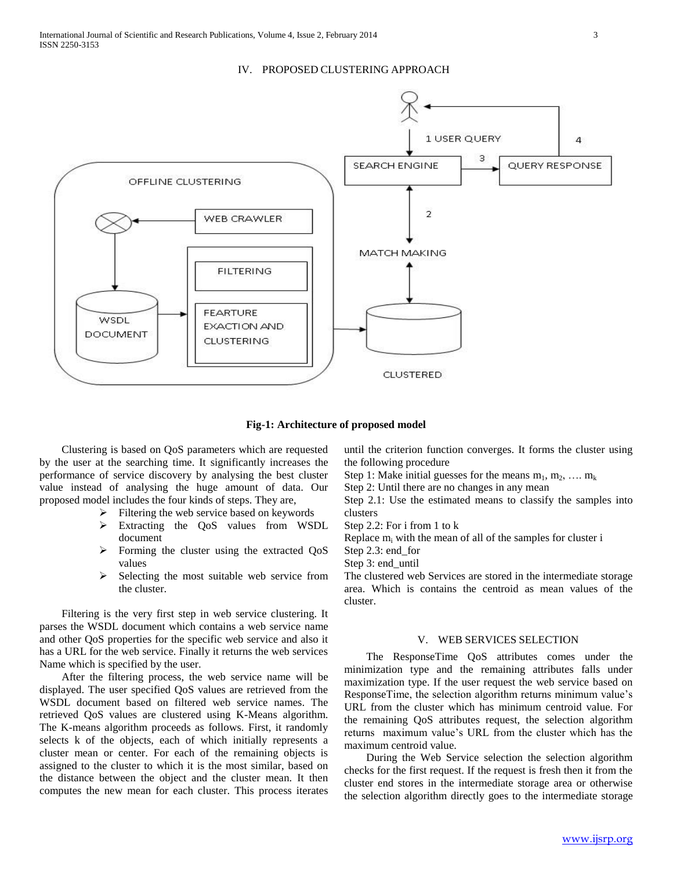## IV. PROPOSED CLUSTERING APPROACH



**Fig-1: Architecture of proposed model**

 Clustering is based on QoS parameters which are requested by the user at the searching time. It significantly increases the performance of service discovery by analysing the best cluster value instead of analysing the huge amount of data. Our proposed model includes the four kinds of steps. They are,

- $\triangleright$  Filtering the web service based on keywords
- Extracting the QoS values from WSDL document
- $\triangleright$  Forming the cluster using the extracted QoS values
- $\triangleright$  Selecting the most suitable web service from the cluster.

 Filtering is the very first step in web service clustering. It parses the WSDL document which contains a web service name and other QoS properties for the specific web service and also it has a URL for the web service. Finally it returns the web services Name which is specified by the user.

 After the filtering process, the web service name will be displayed. The user specified QoS values are retrieved from the WSDL document based on filtered web service names. The retrieved QoS values are clustered using K-Means algorithm. The K-means algorithm proceeds as follows. First, it randomly selects k of the objects, each of which initially represents a cluster mean or center. For each of the remaining objects is assigned to the cluster to which it is the most similar, based on the distance between the object and the cluster mean. It then computes the new mean for each cluster. This process iterates until the criterion function converges. It forms the cluster using the following procedure

Step 1: Make initial guesses for the means  $m_1, m_2, \ldots, m_k$ 

Step 2: Until there are no changes in any mean

Step 2.1: Use the estimated means to classify the samples into clusters

Step 2.2: For i from 1 to k

Replace  $m_i$  with the mean of all of the samples for cluster i

Step 2.3: end for

Step 3: end\_until

The clustered web Services are stored in the intermediate storage area. Which is contains the centroid as mean values of the cluster.

#### V. WEB SERVICES SELECTION

 The ResponseTime QoS attributes comes under the minimization type and the remaining attributes falls under maximization type. If the user request the web service based on ResponseTime, the selection algorithm returns minimum value's URL from the cluster which has minimum centroid value. For the remaining QoS attributes request, the selection algorithm returns maximum value's URL from the cluster which has the maximum centroid value.

 During the Web Service selection the selection algorithm checks for the first request. If the request is fresh then it from the cluster end stores in the intermediate storage area or otherwise the selection algorithm directly goes to the intermediate storage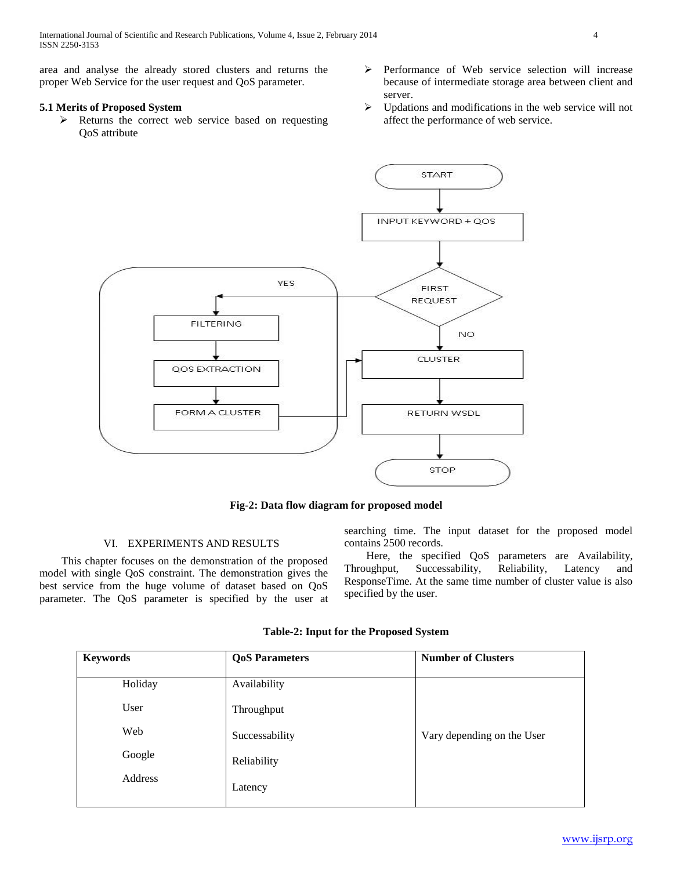International Journal of Scientific and Research Publications, Volume 4, Issue 2, February 2014 4 ISSN 2250-3153

area and analyse the already stored clusters and returns the proper Web Service for the user request and QoS parameter.

# **5.1 Merits of Proposed System**

- $\triangleright$  Returns the correct web service based on requesting QoS attribute
- $\triangleright$  Performance of Web service selection will increase because of intermediate storage area between client and server.
- $\triangleright$  Updations and modifications in the web service will not affect the performance of web service.



**Fig-2: Data flow diagram for proposed model**

# VI. EXPERIMENTS AND RESULTS

 This chapter focuses on the demonstration of the proposed model with single QoS constraint. The demonstration gives the best service from the huge volume of dataset based on QoS parameter. The QoS parameter is specified by the user at searching time. The input dataset for the proposed model contains 2500 records.

 Here, the specified QoS parameters are Availability, Throughput, Successability, Reliability, Latency and ResponseTime. At the same time number of cluster value is also specified by the user.

| <b>Keywords</b> | <b>QoS Parameters</b> | <b>Number of Clusters</b>  |
|-----------------|-----------------------|----------------------------|
| Holiday         | Availability          |                            |
| User            | Throughput            |                            |
| Web             | Successability        | Vary depending on the User |
| Google          | Reliability           |                            |
| Address         | Latency               |                            |